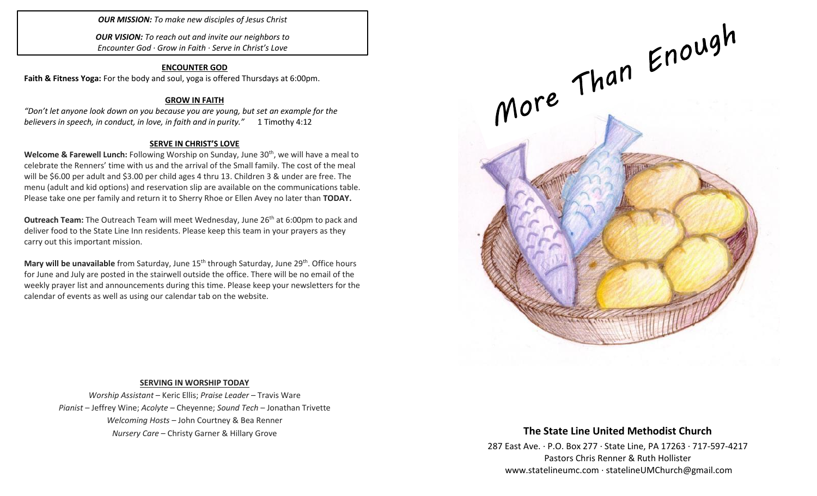*OUR MISSION: To make new disciples of Jesus Christ*

*OUR VISION: To reach out and invite our neighbors to Encounter God · Grow in Faith · Serve in Christ's Love*

#### **ENCOUNTER GOD**

**Faith & Fitness Yoga:** For the body and soul, yoga is offered Thursdays at 6:00pm.

#### **GROW IN FAITH**

*"Don't let anyone look down on you because you are young, but set an example for the believers in speech, in conduct, in love, in faith and in purity."* 1 Timothy 4:12

## **SERVE IN CHRIST'S LOVE**

**Welcome & Farewell Lunch:** Following Worship on Sunday, June 30th, we will have a meal to celebrate the Renners' time with us and the arrival of the Small family. The cost of the meal will be \$6.00 per adult and \$3.00 per child ages 4 thru 13. Children 3 & under are free. The menu (adult and kid options) and reservation slip are available on the communications table. Please take one per family and return it to Sherry Rhoe or Ellen Avey no later than **TODAY.**

**Outreach Team:** The Outreach Team will meet Wednesday, June 26<sup>th</sup> at 6:00pm to pack and deliver food to the State Line Inn residents. Please keep this team in your prayers as they carry out this important mission.

**Mary will be unavailable** from Saturday, June 15<sup>th</sup> through Saturday, June 29<sup>th</sup>. Office hours for June and July are posted in the stairwell outside the office. There will be no email of the weekly prayer list and announcements during this time. Please keep your newsletters for the calendar of events as well as using our calendar tab on the website.



#### **SERVING IN WORSHIP TODAY**

*Worship Assistant* – Keric Ellis; *Praise Leader* – Travis Ware *Pianist* – Jeffrey Wine; *Acolyte* – Cheyenne; *Sound Tech* – Jonathan Trivette *Welcoming Hosts* – John Courtney & Bea Renner *Nursery Care* – Christy Garner & Hillary Grove

# **The State Line United Methodist Church**

287 East Ave. · P.O. Box 277 · State Line, PA 17263 · 717-597-4217 Pastors Chris Renner & Ruth Hollister [www.statelineumc.com](http://www.statelineumc.com/) · statelineUMChurch@gmail.com